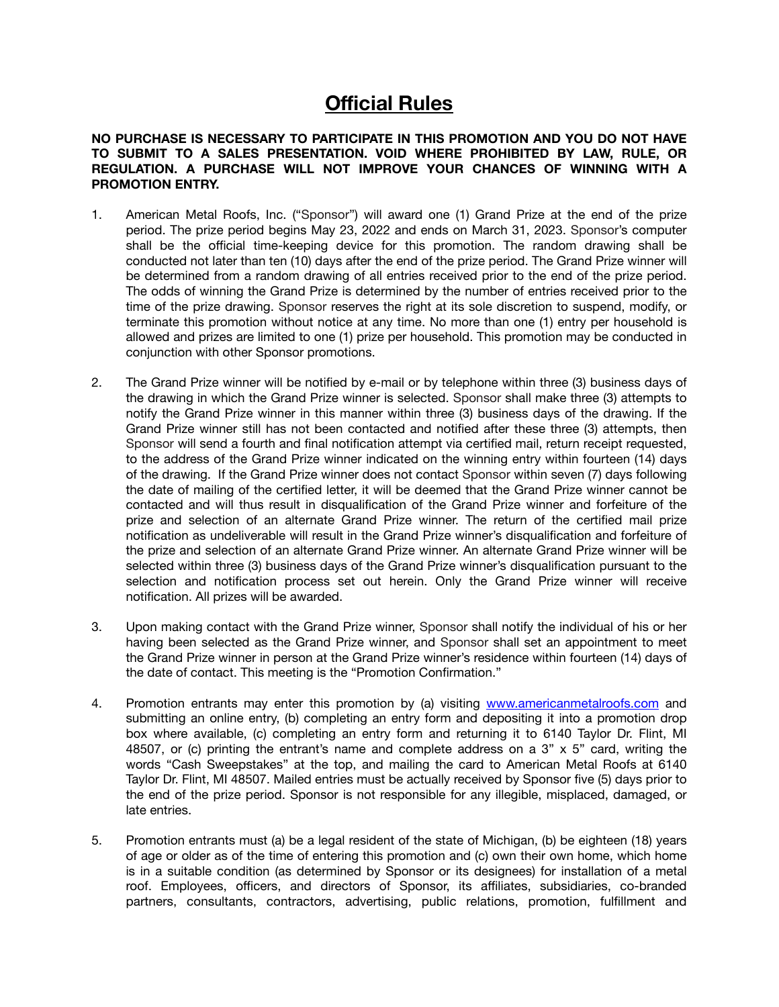## **Official Rules**

**NO PURCHASE IS NECESSARY TO PARTICIPATE IN THIS PROMOTION AND YOU DO NOT HAVE TO SUBMIT TO A SALES PRESENTATION. VOID WHERE PROHIBITED BY LAW, RULE, OR REGULATION. A PURCHASE WILL NOT IMPROVE YOUR CHANCES OF WINNING WITH A PROMOTION ENTRY.** 

- 1. American Metal Roofs, Inc. ("Sponsor") will award one (1) Grand Prize at the end of the prize period. The prize period begins May 23, 2022 and ends on March 31, 2023. Sponsor's computer shall be the official time-keeping device for this promotion. The random drawing shall be conducted not later than ten (10) days after the end of the prize period. The Grand Prize winner will be determined from a random drawing of all entries received prior to the end of the prize period. The odds of winning the Grand Prize is determined by the number of entries received prior to the time of the prize drawing. Sponsor reserves the right at its sole discretion to suspend, modify, or terminate this promotion without notice at any time. No more than one (1) entry per household is allowed and prizes are limited to one (1) prize per household. This promotion may be conducted in conjunction with other Sponsor promotions.
- 2. The Grand Prize winner will be notified by e-mail or by telephone within three (3) business days of the drawing in which the Grand Prize winner is selected. Sponsor shall make three (3) attempts to notify the Grand Prize winner in this manner within three (3) business days of the drawing. If the Grand Prize winner still has not been contacted and notified after these three (3) attempts, then Sponsor will send a fourth and final notification attempt via certified mail, return receipt requested, to the address of the Grand Prize winner indicated on the winning entry within fourteen (14) days of the drawing. If the Grand Prize winner does not contact Sponsor within seven (7) days following the date of mailing of the certified letter, it will be deemed that the Grand Prize winner cannot be contacted and will thus result in disqualification of the Grand Prize winner and forfeiture of the prize and selection of an alternate Grand Prize winner. The return of the certified mail prize notification as undeliverable will result in the Grand Prize winner's disqualification and forfeiture of the prize and selection of an alternate Grand Prize winner. An alternate Grand Prize winner will be selected within three (3) business days of the Grand Prize winner's disqualification pursuant to the selection and notification process set out herein. Only the Grand Prize winner will receive notification. All prizes will be awarded.
- 3. Upon making contact with the Grand Prize winner, Sponsor shall notify the individual of his or her having been selected as the Grand Prize winner, and Sponsor shall set an appointment to meet the Grand Prize winner in person at the Grand Prize winner's residence within fourteen (14) days of the date of contact. This meeting is the "Promotion Confirmation."
- 4. Promotion entrants may enter this promotion by (a) visiting [www.americanmetalroofs.com](http://www.americanmetalroofs.com) and submitting an online entry, (b) completing an entry form and depositing it into a promotion drop box where available, (c) completing an entry form and returning it to 6140 Taylor Dr. Flint, MI 48507, or (c) printing the entrant's name and complete address on a  $3" \times 5"$  card, writing the words "Cash Sweepstakes" at the top, and mailing the card to American Metal Roofs at 6140 Taylor Dr. Flint, MI 48507. Mailed entries must be actually received by Sponsor five (5) days prior to the end of the prize period. Sponsor is not responsible for any illegible, misplaced, damaged, or late entries.
- 5. Promotion entrants must (a) be a legal resident of the state of Michigan, (b) be eighteen (18) years of age or older as of the time of entering this promotion and (c) own their own home, which home is in a suitable condition (as determined by Sponsor or its designees) for installation of a metal roof. Employees, officers, and directors of Sponsor, its affiliates, subsidiaries, co-branded partners, consultants, contractors, advertising, public relations, promotion, fulfillment and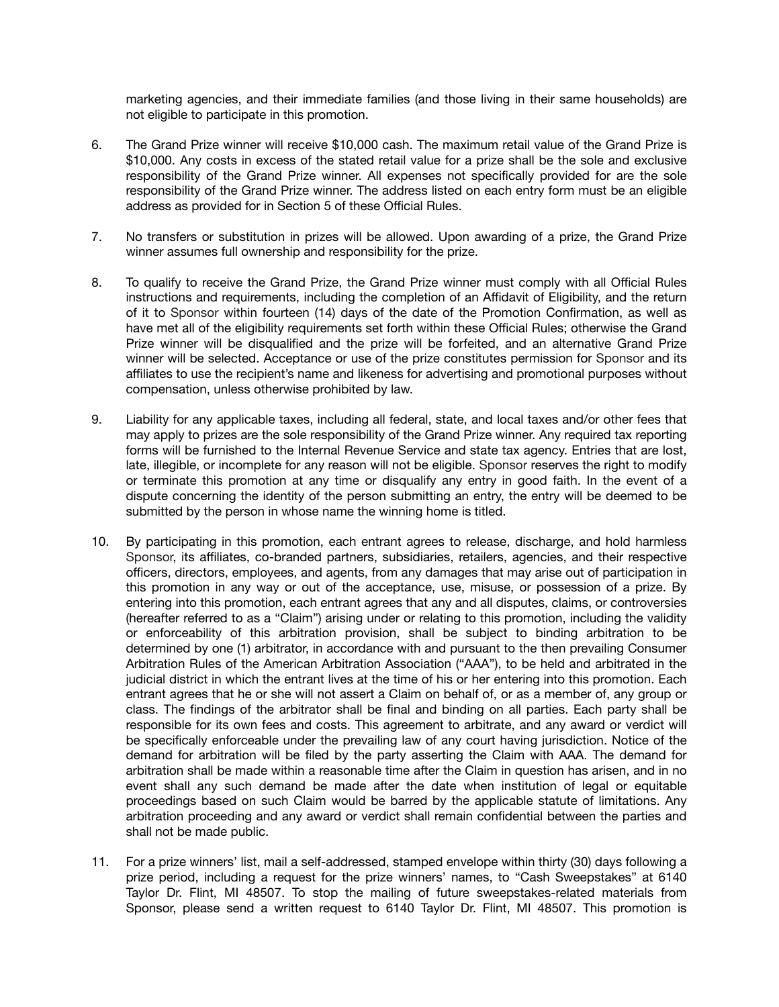marketing agencies, and their immediate families (and those living in their same households) are not eligible to participate in this promotion.

- 6. The Grand Prize winner will receive \$10,000 cash. The maximum retail value of the Grand Prize is \$10,000. Any costs in excess of the stated retail value for a prize shall be the sole and exclusive responsibility of the Grand Prize winner. All expenses not specifically provided for are the sole responsibility of the Grand Prize winner. The address listed on each entry form must be an eligible address as provided for in Section 5 of these Official Rules.
- 7. No transfers or substitution in prizes will be allowed. Upon awarding of a prize, the Grand Prize winner assumes full ownership and responsibility for the prize.
- 8. To qualify to receive the Grand Prize, the Grand Prize winner must comply with all Official Rules instructions and requirements, including the completion of an Affidavit of Eligibility, and the return of it to Sponsor within fourteen (14) days of the date of the Promotion Confirmation, as well as have met all of the eligibility requirements set forth within these Official Rules; otherwise the Grand Prize winner will be disqualified and the prize will be forfeited, and an alternative Grand Prize winner will be selected. Acceptance or use of the prize constitutes permission for Sponsor and its affiliates to use the recipient's name and likeness for advertising and promotional purposes without compensation, unless otherwise prohibited by law.
- 9. Liability for any applicable taxes, including all federal, state, and local taxes and/or other fees that may apply to prizes are the sole responsibility of the Grand Prize winner. Any required tax reporting forms will be furnished to the Internal Revenue Service and state tax agency. Entries that are lost, late, illegible, or incomplete for any reason will not be eligible. Sponsor reserves the right to modify or terminate this promotion at any time or disqualify any entry in good faith. In the event of a dispute concerning the identity of the person submitting an entry, the entry will be deemed to be submitted by the person in whose name the winning home is titled.
- 10. By participating in this promotion, each entrant agrees to release, discharge, and hold harmless Sponsor, its affiliates, co-branded partners, subsidiaries, retailers, agencies, and their respective officers, directors, employees, and agents, from any damages that may arise out of participation in this promotion in any way or out of the acceptance, use, misuse, or possession of a prize. By entering into this promotion, each entrant agrees that any and all disputes, claims, or controversies (hereafter referred to as a "Claim") arising under or relating to this promotion, including the validity or enforceability of this arbitration provision, shall be subject to binding arbitration to be determined by one (1) arbitrator, in accordance with and pursuant to the then prevailing Consumer Arbitration Rules of the American Arbitration Association ("AAA"), to be held and arbitrated in the judicial district in which the entrant lives at the time of his or her entering into this promotion. Each entrant agrees that he or she will not assert a Claim on behalf of, or as a member of, any group or class. The findings of the arbitrator shall be final and binding on all parties. Each party shall be responsible for its own fees and costs. This agreement to arbitrate, and any award or verdict will be specifically enforceable under the prevailing law of any court having jurisdiction. Notice of the demand for arbitration will be filed by the party asserting the Claim with AAA. The demand for arbitration shall be made within a reasonable time after the Claim in question has arisen, and in no event shall any such demand be made after the date when institution of legal or equitable proceedings based on such Claim would be barred by the applicable statute of limitations. Any arbitration proceeding and any award or verdict shall remain confidential between the parties and shall not be made public.
- 11. For a prize winners' list, mail a self-addressed, stamped envelope within thirty (30) days following a prize period, including a request for the prize winners' names, to "Cash Sweepstakes" at 6140 Taylor Dr. Flint, MI 48507. To stop the mailing of future sweepstakes-related materials from Sponsor, please send a written request to 6140 Taylor Dr. Flint, MI 48507. This promotion is